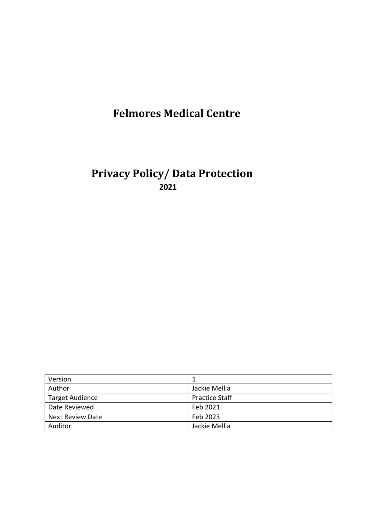# **Felmores Medical Centre**

## **Privacy Policy/ Data Protection 2021**

| Version                 |                       |
|-------------------------|-----------------------|
| Author                  | Jackie Mellia         |
| <b>Target Audience</b>  | <b>Practice Staff</b> |
| Date Reviewed           | Feb 2021              |
| <b>Next Review Date</b> | Feb 2023              |
| Auditor                 | Jackie Mellia         |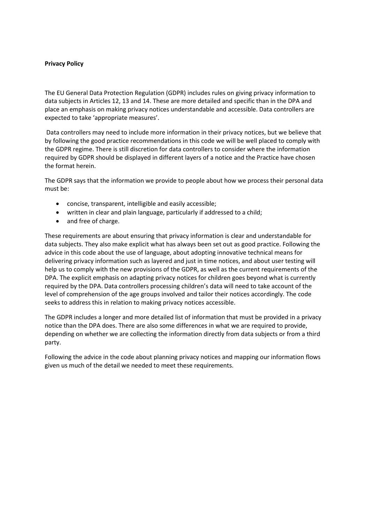#### **Privacy Policy**

The EU General Data Protection Regulation (GDPR) includes rules on giving privacy information to data subjects in Articles 12, 13 and 14. These are more detailed and specific than in the DPA and place an emphasis on making privacy notices understandable and accessible. Data controllers are expected to take 'appropriate measures'.

Data controllers may need to include more information in their privacy notices, but we believe that by following the good practice recommendations in this code we will be well placed to comply with the GDPR regime. There is still discretion for data controllers to consider where the information required by GDPR should be displayed in different layers of a notice and the Practice have chosen the format herein.

The GDPR says that the information we provide to people about how we process their personal data must be:

- concise, transparent, intelligible and easily accessible;
- written in clear and plain language, particularly if addressed to a child;
- and free of charge.

These requirements are about ensuring that privacy information is clear and understandable for data subjects. They also make explicit what has always been set out as good practice. Following the advice in this code about the use of language, about adopting innovative technical means for delivering privacy information such as layered and just in time notices, and about user testing will help us to comply with the new provisions of the GDPR, as well as the current requirements of the DPA. The explicit emphasis on adapting privacy notices for children goes beyond what is currently required by the DPA. Data controllers processing children's data will need to take account of the level of comprehension of the age groups involved and tailor their notices accordingly. The code seeks to address this in relation to making privacy notices accessible.

The GDPR includes a longer and more detailed list of information that must be provided in a privacy notice than the DPA does. There are also some differences in what we are required to provide, depending on whether we are collecting the information directly from data subjects or from a third party.

Following the advice in the code about planning privacy notices and mapping our information flows given us much of the detail we needed to meet these requirements.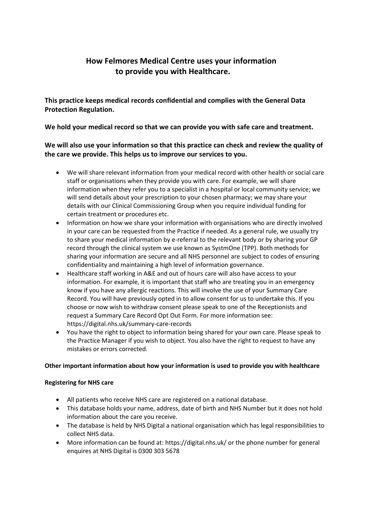## **How Felmores Medical Centre uses your information to provide you with Healthcare.**

**This practice keeps medical records confidential and complies with the General Data Protection Regulation.**

**We hold your medical record so that we can provide you with safe care and treatment.**

### **We will also use your information so that this practice can check and review the quality of the care we provide. This helps us to improve our services to you.**

- We will share relevant information from your medical record with other health or social care staff or organisations when they provide you with care. For example, we will share information when they refer you to a specialist in a hospital or local community service; we will send details about your prescription to your chosen pharmacy; we may share your details with our Clinical Commissioning Group when you require individual funding for certain treatment or procedures etc.
- Information on how we share your information with organisations who are directly involved in your care can be requested from the Practice if needed. As a general rule, we usually try to share your medical information by e-referral to the relevant body or by sharing your GP record through the clinical system we use known as SystmOne (TPP). Both methods for sharing your information are secure and all NHS personnel are subject to codes of ensuring confidentiality and maintaining a high level of information governance.
- Healthcare staff working in A&E and out of hours care will also have access to your information. For example, it is important that staff who are treating you in an emergency know if you have any allergic reactions. This will involve the use of your Summary Care Record. You will have previously opted in to allow consent for us to undertake this. If you choose or now wish to withdraw consent please speak to one of the Receptionists and request a Summary Care Record Opt Out Form. For more information see: https://digital.nhs.uk/summary-care-records
- You have the right to object to information being shared for your own care. Please speak to the Practice Manager if you wish to object. You also have the right to request to have any mistakes or errors corrected.

#### **Other important information about how your information is used to provide you with healthcare**

#### **Registering for NHS care**

- All patients who receive NHS care are registered on a national database.
- This database holds your name, address, date of birth and NHS Number but it does not hold information about the care you receive.
- The database is held by NHS Digital a national organisation which has legal responsibilities to collect NHS data.
- More information can be found at: https://digital.nhs.uk/ or the phone number for general enquires at NHS Digital is 0300 303 5678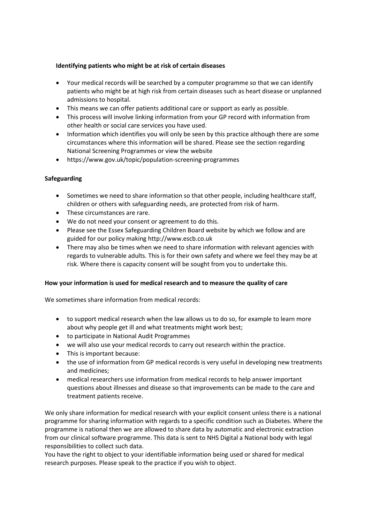#### **Identifying patients who might be at risk of certain diseases**

- Your medical records will be searched by a computer programme so that we can identify patients who might be at high risk from certain diseases such as heart disease or unplanned admissions to hospital.
- This means we can offer patients additional care or support as early as possible.
- This process will involve linking information from your GP record with information from other health or social care services you have used.
- Information which identifies you will only be seen by this practice although there are some circumstances where this information will be shared. Please see the section regarding National Screening Programmes or view the website
- https://www.gov.uk/topic/population-screening-programmes

#### **Safeguarding**

- Sometimes we need to share information so that other people, including healthcare staff, children or others with safeguarding needs, are protected from risk of harm.
- These circumstances are rare.
- We do not need your consent or agreement to do this.
- Please see the Essex Safeguarding Children Board website by which we follow and are guided for our policy making http://www.escb.co.uk
- There may also be times when we need to share information with relevant agencies with regards to vulnerable adults. This is for their own safety and where we feel they may be at risk. Where there is capacity consent will be sought from you to undertake this.

#### **How your information is used for medical research and to measure the quality of care**

We sometimes share information from medical records:

- to support medical research when the law allows us to do so, for example to learn more about why people get ill and what treatments might work best;
- to participate in National Audit Programmes
- we will also use your medical records to carry out research within the practice.
- This is important because:
- the use of information from GP medical records is very useful in developing new treatments and medicines;
- medical researchers use information from medical records to help answer important questions about illnesses and disease so that improvements can be made to the care and treatment patients receive.

We only share information for medical research with your explicit consent unless there is a national programme for sharing information with regards to a specific condition such as Diabetes. Where the programme is national then we are allowed to share data by automatic and electronic extraction from our clinical software programme. This data is sent to NHS Digital a National body with legal responsibilities to collect such data.

You have the right to object to your identifiable information being used or shared for medical research purposes. Please speak to the practice if you wish to object.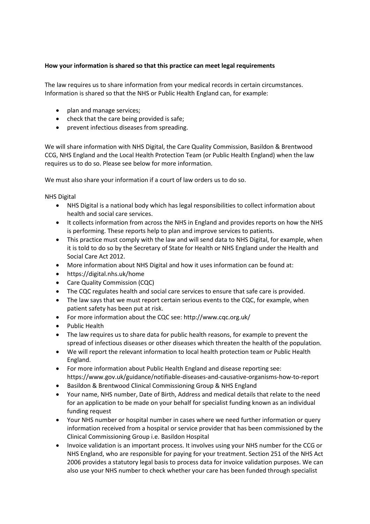#### **How your information is shared so that this practice can meet legal requirements**

The law requires us to share information from your medical records in certain circumstances. Information is shared so that the NHS or Public Health England can, for example:

- plan and manage services;
- check that the care being provided is safe;
- prevent infectious diseases from spreading.

We will share information with NHS Digital, the Care Quality Commission, Basildon & Brentwood CCG, NHS England and the Local Health Protection Team (or Public Health England) when the law requires us to do so. Please see below for more information.

We must also share your information if a court of law orders us to do so.

NHS Digital

- NHS Digital is a national body which has legal responsibilities to collect information about health and social care services.
- It collects information from across the NHS in England and provides reports on how the NHS is performing. These reports help to plan and improve services to patients.
- This practice must comply with the law and will send data to NHS Digital, for example, when it is told to do so by the Secretary of State for Health or NHS England under the Health and Social Care Act 2012.
- More information about NHS Digital and how it uses information can be found at:
- https://digital.nhs.uk/home
- Care Quality Commission (CQC)
- The CQC regulates health and social care services to ensure that safe care is provided.
- The law says that we must report certain serious events to the CQC, for example, when patient safety has been put at risk.
- For more information about the CQC see: http://www.cqc.org.uk/
- Public Health
- The law requires us to share data for public health reasons, for example to prevent the spread of infectious diseases or other diseases which threaten the health of the population.
- We will report the relevant information to local health protection team or Public Health England.
- For more information about Public Health England and disease reporting see: https://www.gov.uk/guidance/notifiable-diseases-and-causative-organisms-how-to-report
- Basildon & Brentwood Clinical Commissioning Group & NHS England
- Your name, NHS number, Date of Birth, Address and medical details that relate to the need for an application to be made on your behalf for specialist funding known as an individual funding request
- Your NHS number or hospital number in cases where we need further information or query information received from a hospital or service provider that has been commissioned by the Clinical Commissioning Group i.e. Basildon Hospital
- Invoice validation is an important process. It involves using your NHS number for the CCG or NHS England, who are responsible for paying for your treatment. Section 251 of the NHS Act 2006 provides a statutory legal basis to process data for invoice validation purposes. We can also use your NHS number to check whether your care has been funded through specialist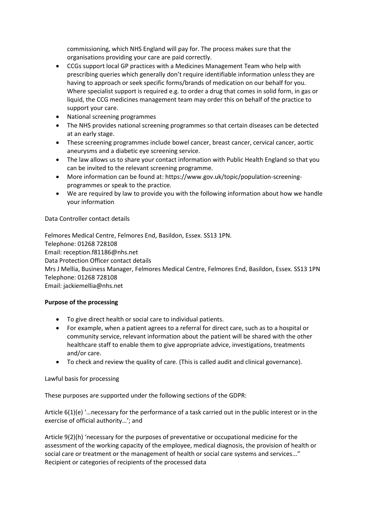commissioning, which NHS England will pay for. The process makes sure that the organisations providing your care are paid correctly.

- CCGs support local GP practices with a Medicines Management Team who help with prescribing queries which generally don't require identifiable information unless they are having to approach or seek specific forms/brands of medication on our behalf for you. Where specialist support is required e.g. to order a drug that comes in solid form, in gas or liquid, the CCG medicines management team may order this on behalf of the practice to support your care.
- National screening programmes
- The NHS provides national screening programmes so that certain diseases can be detected at an early stage.
- These screening programmes include bowel cancer, breast cancer, cervical cancer, aortic aneurysms and a diabetic eye screening service.
- The law allows us to share your contact information with Public Health England so that you can be invited to the relevant screening programme.
- More information can be found at: https://www.gov.uk/topic/population-screeningprogrammes or speak to the practice.
- We are required by law to provide you with the following information about how we handle your information

#### Data Controller contact details

Felmores Medical Centre, Felmores End, Basildon, Essex. SS13 1PN. Telephone: 01268 728108 Email: reception.f81186@nhs.net Data Protection Officer contact details Mrs J Mellia, Business Manager, Felmores Medical Centre, Felmores End, Basildon, Essex. SS13 1PN Telephone: 01268 728108 Email: jackiemellia@nhs.net

#### **Purpose of the processing**

- To give direct health or social care to individual patients.
- For example, when a patient agrees to a referral for direct care, such as to a hospital or community service, relevant information about the patient will be shared with the other healthcare staff to enable them to give appropriate advice, investigations, treatments and/or care.
- To check and review the quality of care. (This is called audit and clinical governance).

#### Lawful basis for processing

These purposes are supported under the following sections of the GDPR:

Article 6(1)(e) '…necessary for the performance of a task carried out in the public interest or in the exercise of official authority…'; and

Article 9(2)(h) 'necessary for the purposes of preventative or occupational medicine for the assessment of the working capacity of the employee, medical diagnosis, the provision of health or social care or treatment or the management of health or social care systems and services..." Recipient or categories of recipients of the processed data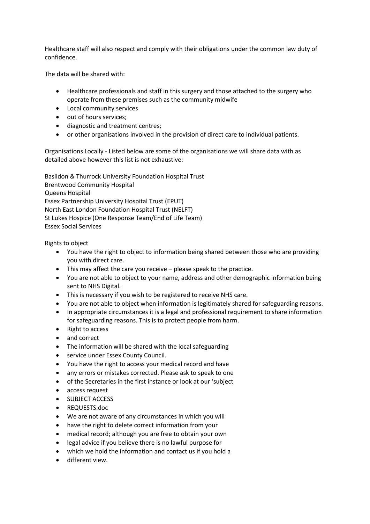Healthcare staff will also respect and comply with their obligations under the common law duty of confidence.

The data will be shared with:

- Healthcare professionals and staff in this surgery and those attached to the surgery who operate from these premises such as the community midwife
- Local community services
- out of hours services;
- diagnostic and treatment centres;
- or other organisations involved in the provision of direct care to individual patients.

Organisations Locally - Listed below are some of the organisations we will share data with as detailed above however this list is not exhaustive:

Basildon & Thurrock University Foundation Hospital Trust Brentwood Community Hospital Queens Hospital Essex Partnership University Hospital Trust (EPUT) North East London Foundation Hospital Trust (NELFT) St Lukes Hospice (One Response Team/End of Life Team) Essex Social Services

Rights to object

- You have the right to object to information being shared between those who are providing you with direct care.
- This may affect the care you receive please speak to the practice.
- You are not able to object to your name, address and other demographic information being sent to NHS Digital.
- This is necessary if you wish to be registered to receive NHS care.
- You are not able to object when information is legitimately shared for safeguarding reasons.
- In appropriate circumstances it is a legal and professional requirement to share information for safeguarding reasons. This is to protect people from harm.
- Right to access
- and correct
- The information will be shared with the local safeguarding
- service under Essex County Council.
- You have the right to access your medical record and have
- any errors or mistakes corrected. Please ask to speak to one
- of the Secretaries in the first instance or look at our 'subject
- access request
- SUBJECT ACCESS
- REQUESTS.doc
- We are not aware of any circumstances in which you will
- have the right to delete correct information from your
- medical record; although you are free to obtain your own
- legal advice if you believe there is no lawful purpose for
- which we hold the information and contact us if you hold a
- different view.